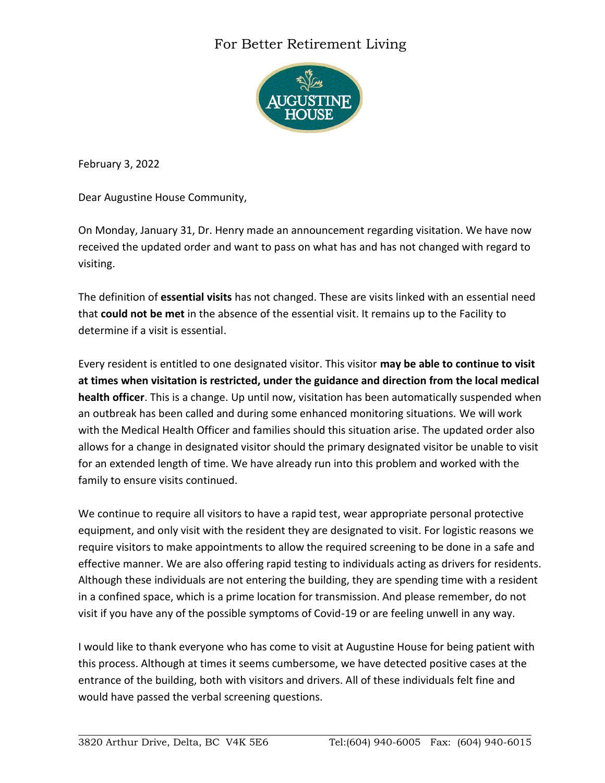## For Better Retirement Living



February 3, 2022

Dear Augustine House Community,

On Monday, January 31, Dr. Henry made an announcement regarding visitation. We have now received the updated order and want to pass on what has and has not changed with regard to visiting.

The definition of **essential visits** has not changed. These are visits linked with an essential need that **could not be met** in the absence of the essential visit. It remains up to the Facility to determine if a visit is essential.

Every resident is entitled to one designated visitor. This visitor **may be able to continue to visit at times when visitation is restricted, under the guidance and direction from the local medical health officer**. This is a change. Up until now, visitation has been automatically suspended when an outbreak has been called and during some enhanced monitoring situations. We will work with the Medical Health Officer and families should this situation arise. The updated order also allows for a change in designated visitor should the primary designated visitor be unable to visit for an extended length of time. We have already run into this problem and worked with the family to ensure visits continued.

We continue to require all visitors to have a rapid test, wear appropriate personal protective equipment, and only visit with the resident they are designated to visit. For logistic reasons we require visitors to make appointments to allow the required screening to be done in a safe and effective manner. We are also offering rapid testing to individuals acting as drivers for residents. Although these individuals are not entering the building, they are spending time with a resident in a confined space, which is a prime location for transmission. And please remember, do not visit if you have any of the possible symptoms of Covid-19 or are feeling unwell in any way.

I would like to thank everyone who has come to visit at Augustine House for being patient with this process. Although at times it seems cumbersome, we have detected positive cases at the entrance of the building, both with visitors and drivers. All of these individuals felt fine and would have passed the verbal screening questions.